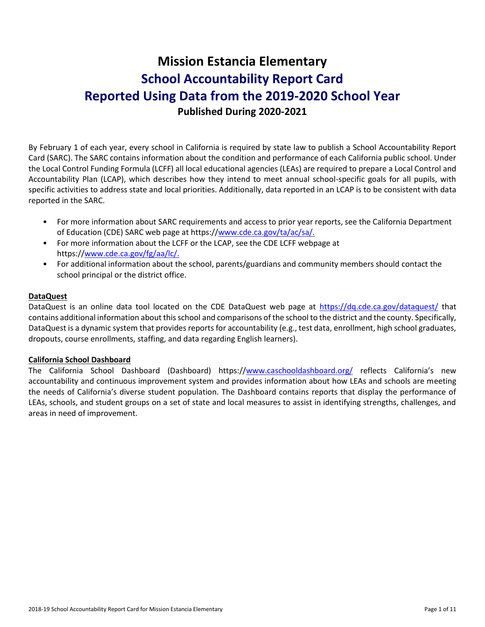# **Mission Estancia Elementary School Accountability Report Card Reported Using Data from the 2019-2020 School Year Published During 2020-2021**

By February 1 of each year, every school in California is required by state law to publish a School Accountability Report Card (SARC). The SARC contains information about the condition and performance of each California public school. Under the Local Control Funding Formula (LCFF) all local educational agencies (LEAs) are required to prepare a Local Control and Accountability Plan (LCAP), which describes how they intend to meet annual school-specific goals for all pupils, with specific activities to address state and local priorities. Additionally, data reported in an LCAP is to be consistent with data reported in the SARC.

- For more information about SARC requirements and access to prior year reports, see the California Department of Education (CDE) SARC web page at https:/[/www.cde.ca.gov/ta/ac/sa/.](https://www.cde.ca.gov/ta/ac/sa/)
- For more information about the LCFF or the LCAP, see the CDE LCFF webpage at https:/[/www.cde.ca.gov/fg/aa/lc/.](https://www.cde.ca.gov/fg/aa/lc/)
- For additional information about the school, parents/guardians and community members should contact the school principal or the district office.

### **DataQuest**

DataQuest is an online data tool located on the CDE DataQuest web page at<https://dq.cde.ca.gov/dataquest/> that contains additional information about this school and comparisons of the school to the district and the county. Specifically, DataQuest is a dynamic system that provides reports for accountability (e.g., test data, enrollment, high school graduates, dropouts, course enrollments, staffing, and data regarding English learners).

#### **California School Dashboard**

The California School Dashboard (Dashboard) https:/[/www.caschooldashboard.org/](https://www.caschooldashboard.org/) reflects California's new accountability and continuous improvement system and provides information about how LEAs and schools are meeting the needs of California's diverse student population. The Dashboard contains reports that display the performance of LEAs, schools, and student groups on a set of state and local measures to assist in identifying strengths, challenges, and areas in need of improvement.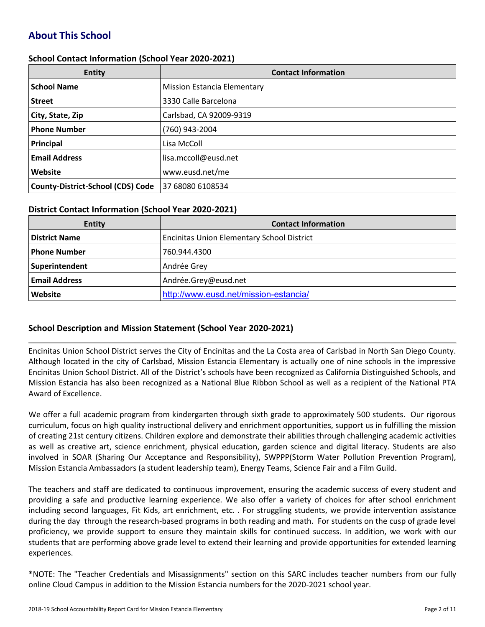# **About This School**

#### **School Contact Information (School Year 2020-2021)**

| <b>Entity</b>                            | <b>Contact Information</b>         |
|------------------------------------------|------------------------------------|
| <b>School Name</b>                       | <b>Mission Estancia Elementary</b> |
| <b>Street</b>                            | 3330 Calle Barcelona               |
| City, State, Zip                         | Carlsbad, CA 92009-9319            |
| <b>Phone Number</b>                      | (760) 943-2004                     |
| Principal                                | Lisa McColl                        |
| <b>Email Address</b>                     | lisa.mccoll@eusd.net               |
| Website                                  | www.eusd.net/me                    |
| <b>County-District-School (CDS) Code</b> | 37 68080 6108534                   |

#### **District Contact Information (School Year 2020-2021)**

| <b>Entity</b>        | <b>Contact Information</b>                        |
|----------------------|---------------------------------------------------|
| <b>District Name</b> | <b>Encinitas Union Elementary School District</b> |
| Phone Number         | 760.944.4300                                      |
| Superintendent       | Andrée Grey                                       |
| <b>Email Address</b> | Andrée.Grey@eusd.net                              |
| Website              | http://www.eusd.net/mission-estancia/             |

#### **School Description and Mission Statement (School Year 2020-2021)**

Encinitas Union School District serves the City of Encinitas and the La Costa area of Carlsbad in North San Diego County. Although located in the city of Carlsbad, Mission Estancia Elementary is actually one of nine schools in the impressive Encinitas Union School District. All of the District's schools have been recognized as California Distinguished Schools, and Mission Estancia has also been recognized as a National Blue Ribbon School as well as a recipient of the National PTA Award of Excellence.

We offer a full academic program from kindergarten through sixth grade to approximately 500 students. Our rigorous curriculum, focus on high quality instructional delivery and enrichment opportunities, support us in fulfilling the mission of creating 21st century citizens. Children explore and demonstrate their abilities through challenging academic activities as well as creative art, science enrichment, physical education, garden science and digital literacy. Students are also involved in SOAR (Sharing Our Acceptance and Responsibility), SWPPP(Storm Water Pollution Prevention Program), Mission Estancia Ambassadors (a student leadership team), Energy Teams, Science Fair and a Film Guild.

The teachers and staff are dedicated to continuous improvement, ensuring the academic success of every student and providing a safe and productive learning experience. We also offer a variety of choices for after school enrichment including second languages, Fit Kids, art enrichment, etc. . For struggling students, we provide intervention assistance during the day through the research-based programs in both reading and math. For students on the cusp of grade level proficiency, we provide support to ensure they maintain skills for continued success. In addition, we work with our students that are performing above grade level to extend their learning and provide opportunities for extended learning experiences.

\*NOTE: The "Teacher Credentials and Misassignments" section on this SARC includes teacher numbers from our fully online Cloud Campus in addition to the Mission Estancia numbers for the 2020-2021 school year.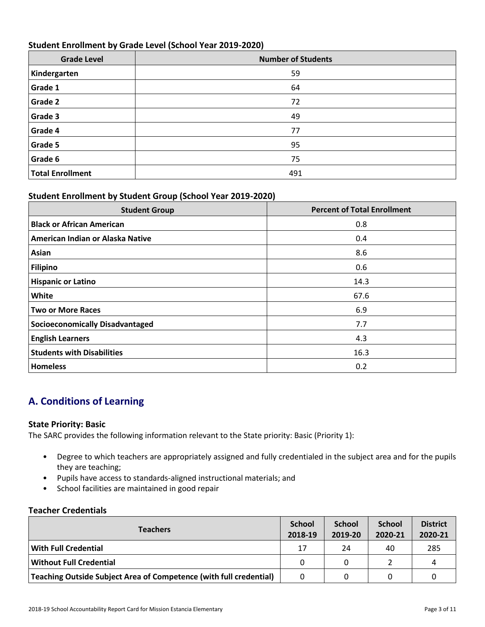## **Student Enrollment by Grade Level (School Year 2019-2020)**

| <b>Grade Level</b> | <b>Number of Students</b> |
|--------------------|---------------------------|
| Kindergarten       | 59                        |
| <b>Grade 1</b>     | 64                        |
| <b>Grade 2</b>     | 72                        |
| <b>Grade 3</b>     | 49                        |
| Grade 4            | 77                        |
| <b>Grade 5</b>     | 95                        |
| Grade 6            | 75                        |
| Total Enrollment   | 491                       |

### **Student Enrollment by Student Group (School Year 2019-2020)**

| <b>Student Group</b>                   | <b>Percent of Total Enrollment</b> |
|----------------------------------------|------------------------------------|
| <b>Black or African American</b>       | 0.8                                |
| American Indian or Alaska Native       | 0.4                                |
| Asian                                  | 8.6                                |
| Filipino                               | 0.6                                |
| <b>Hispanic or Latino</b>              | 14.3                               |
| <b>White</b>                           | 67.6                               |
| <b>Two or More Races</b>               | 6.9                                |
| <b>Socioeconomically Disadvantaged</b> | 7.7                                |
| <b>English Learners</b>                | 4.3                                |
| <b>Students with Disabilities</b>      | 16.3                               |
| <b>Homeless</b>                        | 0.2                                |

# **A. Conditions of Learning**

#### **State Priority: Basic**

The SARC provides the following information relevant to the State priority: Basic (Priority 1):

- Degree to which teachers are appropriately assigned and fully credentialed in the subject area and for the pupils they are teaching;
- Pupils have access to standards-aligned instructional materials; and
- School facilities are maintained in good repair

#### **Teacher Credentials**

| <b>Teachers</b>                                                    |          | <b>School</b><br>2019-20 | <b>School</b><br>2020-21 | <b>District</b><br>2020-21 |
|--------------------------------------------------------------------|----------|--------------------------|--------------------------|----------------------------|
| With Full Credential                                               | 17       | 24                       | 40                       | 285                        |
| Without Full Credential                                            | $\Omega$ |                          |                          | 4                          |
| Teaching Outside Subject Area of Competence (with full credential) | 0        |                          |                          |                            |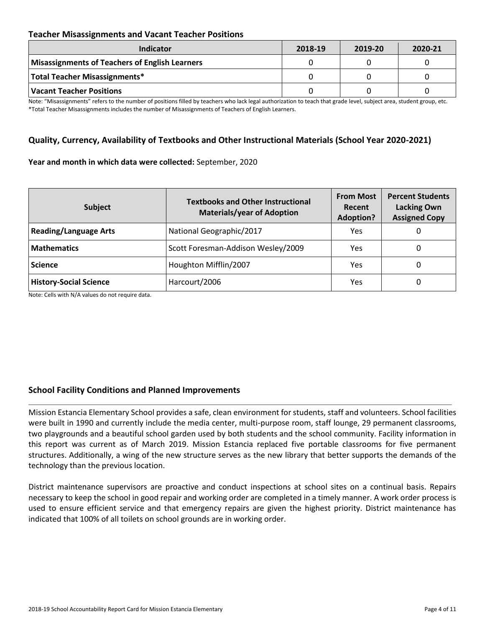## **Teacher Misassignments and Vacant Teacher Positions**

| <b>Indicator</b>                               | 2018-19 | 2019-20 | 2020-21 |
|------------------------------------------------|---------|---------|---------|
| Misassignments of Teachers of English Learners |         |         |         |
| Total Teacher Misassignments*                  |         |         |         |
| <b>Vacant Teacher Positions</b>                |         |         |         |

Note: "Misassignments" refers to the number of positions filled by teachers who lack legal authorization to teach that grade level, subject area, student group, etc. \*Total Teacher Misassignments includes the number of Misassignments of Teachers of English Learners.

## **Quality, Currency, Availability of Textbooks and Other Instructional Materials (School Year 2020-2021)**

#### **Year and month in which data were collected:** September, 2020

| <b>Subject</b>                | <b>Textbooks and Other Instructional</b><br><b>Materials/year of Adoption</b> | <b>From Most</b><br>Recent<br><b>Adoption?</b> | <b>Percent Students</b><br><b>Lacking Own</b><br><b>Assigned Copy</b> |
|-------------------------------|-------------------------------------------------------------------------------|------------------------------------------------|-----------------------------------------------------------------------|
| <b>Reading/Language Arts</b>  | National Geographic/2017                                                      | Yes                                            | O                                                                     |
| <b>Mathematics</b>            | Scott Foresman-Addison Wesley/2009                                            | Yes                                            | O                                                                     |
| <b>Science</b>                | Houghton Mifflin/2007                                                         | Yes                                            | O                                                                     |
| <b>History-Social Science</b> | Harcourt/2006                                                                 | Yes                                            | 0                                                                     |

Note: Cells with N/A values do not require data.

## **School Facility Conditions and Planned Improvements**

Mission Estancia Elementary School provides a safe, clean environment for students, staff and volunteers. School facilities were built in 1990 and currently include the media center, multi-purpose room, staff lounge, 29 permanent classrooms, two playgrounds and a beautiful school garden used by both students and the school community. Facility information in this report was current as of March 2019. Mission Estancia replaced five portable classrooms for five permanent structures. Additionally, a wing of the new structure serves as the new library that better supports the demands of the technology than the previous location.

District maintenance supervisors are proactive and conduct inspections at school sites on a continual basis. Repairs necessary to keep the school in good repair and working order are completed in a timely manner. A work order process is used to ensure efficient service and that emergency repairs are given the highest priority. District maintenance has indicated that 100% of all toilets on school grounds are in working order.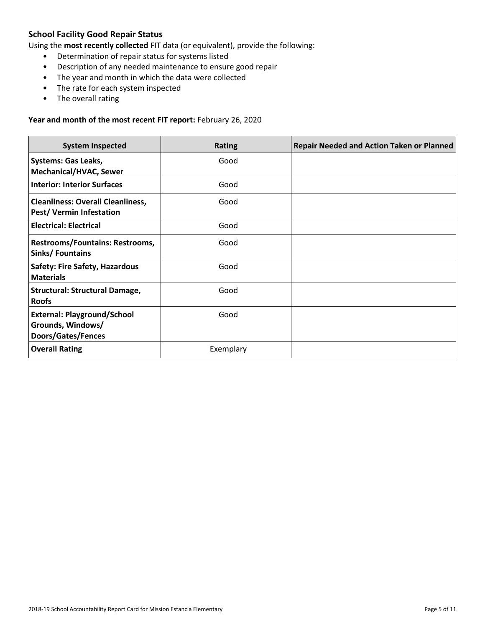## **School Facility Good Repair Status**

Using the **most recently collected** FIT data (or equivalent), provide the following:

- Determination of repair status for systems listed
- Description of any needed maintenance to ensure good repair
- The year and month in which the data were collected
- The rate for each system inspected
- The overall rating

#### **Year and month of the most recent FIT report:** February 26, 2020

| <b>System Inspected</b>                                                       | <b>Rating</b> | <b>Repair Needed and Action Taken or Planned</b> |
|-------------------------------------------------------------------------------|---------------|--------------------------------------------------|
| <b>Systems: Gas Leaks,</b><br><b>Mechanical/HVAC, Sewer</b>                   | Good          |                                                  |
| <b>Interior: Interior Surfaces</b>                                            | Good          |                                                  |
| <b>Cleanliness: Overall Cleanliness,</b><br><b>Pest/ Vermin Infestation</b>   | Good          |                                                  |
| <b>Electrical: Electrical</b>                                                 | Good          |                                                  |
| <b>Restrooms/Fountains: Restrooms,</b><br>Sinks/Fountains                     | Good          |                                                  |
| <b>Safety: Fire Safety, Hazardous</b><br><b>Materials</b>                     | Good          |                                                  |
| <b>Structural: Structural Damage,</b><br><b>Roofs</b>                         | Good          |                                                  |
| <b>External: Playground/School</b><br>Grounds, Windows/<br>Doors/Gates/Fences | Good          |                                                  |
| <b>Overall Rating</b>                                                         | Exemplary     |                                                  |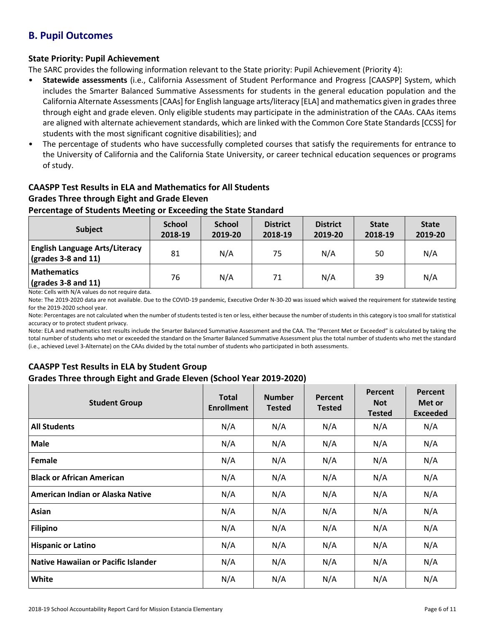## **B. Pupil Outcomes**

## **State Priority: Pupil Achievement**

The SARC provides the following information relevant to the State priority: Pupil Achievement (Priority 4):

- **Statewide assessments** (i.e., California Assessment of Student Performance and Progress [CAASPP] System, which includes the Smarter Balanced Summative Assessments for students in the general education population and the California Alternate Assessments [CAAs] for English language arts/literacy [ELA] and mathematics given in grades three through eight and grade eleven. Only eligible students may participate in the administration of the CAAs. CAAs items are aligned with alternate achievement standards, which are linked with the Common Core State Standards [CCSS] for students with the most significant cognitive disabilities); and
- The percentage of students who have successfully completed courses that satisfy the requirements for entrance to the University of California and the California State University, or career technical education sequences or programs of study.

# **CAASPP Test Results in ELA and Mathematics for All Students**

## **Grades Three through Eight and Grade Eleven**

### **Percentage of Students Meeting or Exceeding the State Standard**

| Subject                                                              | <b>School</b><br>2018-19 | <b>School</b><br>2019-20 | <b>District</b><br>2018-19 | <b>District</b><br>2019-20 | <b>State</b><br>2018-19 | <b>State</b><br>2019-20 |
|----------------------------------------------------------------------|--------------------------|--------------------------|----------------------------|----------------------------|-------------------------|-------------------------|
| <b>English Language Arts/Literacy</b><br>$\vert$ (grades 3-8 and 11) | 81                       | N/A                      | 75                         | N/A                        | 50                      | N/A                     |
| <b>Mathematics</b><br>$\sqrt{\frac{1}{2}}$ (grades 3-8 and 11)       | 76                       | N/A                      | 71                         | N/A                        | 39                      | N/A                     |

Note: Cells with N/A values do not require data.

Note: The 2019-2020 data are not available. Due to the COVID-19 pandemic, Executive Order N-30-20 was issued which waived the requirement for statewide testing for the 2019-2020 school year.

Note: Percentages are not calculated when the number of students tested is ten or less, either because the number of students in this category is too small for statistical accuracy or to protect student privacy.

Note: ELA and mathematics test results include the Smarter Balanced Summative Assessment and the CAA. The "Percent Met or Exceeded" is calculated by taking the total number of students who met or exceeded the standard on the Smarter Balanced Summative Assessment plus the total number of students who met the standard (i.e., achieved Level 3-Alternate) on the CAAs divided by the total number of students who participated in both assessments.

## **CAASPP Test Results in ELA by Student Group Grades Three through Eight and Grade Eleven (School Year 2019-2020)**

| <b>Student Group</b>                | <b>Total</b><br><b>Enrollment</b> | <b>Number</b><br><b>Tested</b> | Percent<br><b>Tested</b> | Percent<br><b>Not</b><br><b>Tested</b> | Percent<br>Met or<br><b>Exceeded</b> |
|-------------------------------------|-----------------------------------|--------------------------------|--------------------------|----------------------------------------|--------------------------------------|
| <b>All Students</b>                 | N/A                               | N/A                            | N/A                      | N/A                                    | N/A                                  |
| <b>Male</b>                         | N/A                               | N/A                            | N/A                      | N/A                                    | N/A                                  |
| Female                              | N/A                               | N/A                            | N/A                      | N/A                                    | N/A                                  |
| <b>Black or African American</b>    | N/A                               | N/A                            | N/A                      | N/A                                    | N/A                                  |
| American Indian or Alaska Native    | N/A                               | N/A                            | N/A                      | N/A                                    | N/A                                  |
| Asian                               | N/A                               | N/A                            | N/A                      | N/A                                    | N/A                                  |
| <b>Filipino</b>                     | N/A                               | N/A                            | N/A                      | N/A                                    | N/A                                  |
| <b>Hispanic or Latino</b>           | N/A                               | N/A                            | N/A                      | N/A                                    | N/A                                  |
| Native Hawaiian or Pacific Islander | N/A                               | N/A                            | N/A                      | N/A                                    | N/A                                  |
| White                               | N/A                               | N/A                            | N/A                      | N/A                                    | N/A                                  |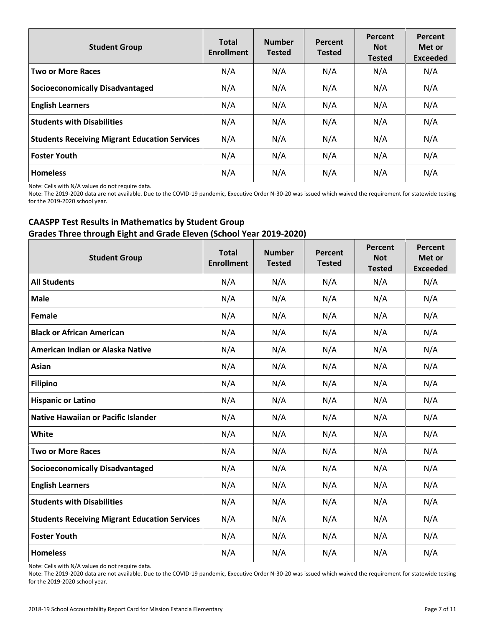| <b>Student Group</b>                                 | <b>Total</b><br><b>Enrollment</b> | <b>Number</b><br><b>Tested</b> | Percent<br><b>Tested</b> | Percent<br><b>Not</b><br><b>Tested</b> | Percent<br>Met or<br><b>Exceeded</b> |
|------------------------------------------------------|-----------------------------------|--------------------------------|--------------------------|----------------------------------------|--------------------------------------|
| <b>Two or More Races</b>                             | N/A                               | N/A                            | N/A                      | N/A                                    | N/A                                  |
| <b>Socioeconomically Disadvantaged</b>               | N/A                               | N/A                            | N/A                      | N/A                                    | N/A                                  |
| <b>English Learners</b>                              | N/A                               | N/A                            | N/A                      | N/A                                    | N/A                                  |
| <b>Students with Disabilities</b>                    | N/A                               | N/A                            | N/A                      | N/A                                    | N/A                                  |
| <b>Students Receiving Migrant Education Services</b> | N/A                               | N/A                            | N/A                      | N/A                                    | N/A                                  |
| <b>Foster Youth</b>                                  | N/A                               | N/A                            | N/A                      | N/A                                    | N/A                                  |
| <b>Homeless</b>                                      | N/A                               | N/A                            | N/A                      | N/A                                    | N/A                                  |

Note: Cells with N/A values do not require data.

Note: The 2019-2020 data are not available. Due to the COVID-19 pandemic, Executive Order N-30-20 was issued which waived the requirement for statewide testing for the 2019-2020 school year.

## **CAASPP Test Results in Mathematics by Student Group Grades Three through Eight and Grade Eleven (School Year 2019-2020)**

| <b>Student Group</b>                                 | <b>Total</b><br><b>Enrollment</b> | <b>Number</b><br><b>Tested</b> | Percent<br><b>Tested</b> | Percent<br><b>Not</b><br><b>Tested</b> | Percent<br>Met or<br><b>Exceeded</b> |
|------------------------------------------------------|-----------------------------------|--------------------------------|--------------------------|----------------------------------------|--------------------------------------|
| <b>All Students</b>                                  | N/A                               | N/A                            | N/A                      | N/A                                    | N/A                                  |
| <b>Male</b>                                          | N/A                               | N/A                            | N/A                      | N/A                                    | N/A                                  |
| Female                                               | N/A                               | N/A                            | N/A                      | N/A                                    | N/A                                  |
| <b>Black or African American</b>                     | N/A                               | N/A                            | N/A                      | N/A                                    | N/A                                  |
| American Indian or Alaska Native                     | N/A                               | N/A                            | N/A                      | N/A                                    | N/A                                  |
| Asian                                                | N/A                               | N/A                            | N/A                      | N/A                                    | N/A                                  |
| <b>Filipino</b>                                      | N/A                               | N/A                            | N/A                      | N/A                                    | N/A                                  |
| <b>Hispanic or Latino</b>                            | N/A                               | N/A                            | N/A                      | N/A                                    | N/A                                  |
| <b>Native Hawaiian or Pacific Islander</b>           | N/A                               | N/A                            | N/A                      | N/A                                    | N/A                                  |
| White                                                | N/A                               | N/A                            | N/A                      | N/A                                    | N/A                                  |
| <b>Two or More Races</b>                             | N/A                               | N/A                            | N/A                      | N/A                                    | N/A                                  |
| <b>Socioeconomically Disadvantaged</b>               | N/A                               | N/A                            | N/A                      | N/A                                    | N/A                                  |
| <b>English Learners</b>                              | N/A                               | N/A                            | N/A                      | N/A                                    | N/A                                  |
| <b>Students with Disabilities</b>                    | N/A                               | N/A                            | N/A                      | N/A                                    | N/A                                  |
| <b>Students Receiving Migrant Education Services</b> | N/A                               | N/A                            | N/A                      | N/A                                    | N/A                                  |
| <b>Foster Youth</b>                                  | N/A                               | N/A                            | N/A                      | N/A                                    | N/A                                  |
| <b>Homeless</b>                                      | N/A                               | N/A                            | N/A                      | N/A                                    | N/A                                  |

Note: Cells with N/A values do not require data.

Note: The 2019-2020 data are not available. Due to the COVID-19 pandemic, Executive Order N-30-20 was issued which waived the requirement for statewide testing for the 2019-2020 school year.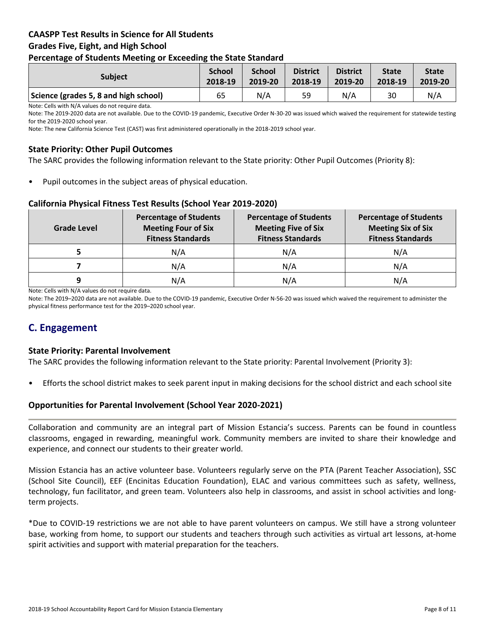## **CAASPP Test Results in Science for All Students Grades Five, Eight, and High School Percentage of Students Meeting or Exceeding the State Standard**

| <b>Subject</b>                        | <b>School</b> | <b>School</b> | <b>District</b> | <b>District</b> | <b>State</b> | <b>State</b> |
|---------------------------------------|---------------|---------------|-----------------|-----------------|--------------|--------------|
|                                       | 2018-19       | 2019-20       | 2018-19         | 2019-20         | 2018-19      | 2019-20      |
| Science (grades 5, 8 and high school) | 65            | N/A           | 59              | N/A             | 30           | N/A          |

Note: Cells with N/A values do not require data.

Note: The 2019-2020 data are not available. Due to the COVID-19 pandemic, Executive Order N-30-20 was issued which waived the requirement for statewide testing for the 2019-2020 school year.

Note: The new California Science Test (CAST) was first administered operationally in the 2018-2019 school year.

## **State Priority: Other Pupil Outcomes**

The SARC provides the following information relevant to the State priority: Other Pupil Outcomes (Priority 8):

Pupil outcomes in the subject areas of physical education.

#### **California Physical Fitness Test Results (School Year 2019-2020)**

| Grade Level | <b>Percentage of Students</b><br><b>Meeting Four of Six</b><br><b>Fitness Standards</b> |     | <b>Percentage of Students</b><br><b>Meeting Six of Six</b><br><b>Fitness Standards</b> |  |
|-------------|-----------------------------------------------------------------------------------------|-----|----------------------------------------------------------------------------------------|--|
|             | N/A                                                                                     | N/A | N/A                                                                                    |  |
|             | N/A                                                                                     | N/A | N/A                                                                                    |  |
| 9           | N/A                                                                                     | N/A | N/A                                                                                    |  |

Note: Cells with N/A values do not require data.

Note: The 2019–2020 data are not available. Due to the COVID-19 pandemic, Executive Order N-56-20 was issued which waived the requirement to administer the physical fitness performance test for the 2019–2020 school year.

## **C. Engagement**

#### **State Priority: Parental Involvement**

The SARC provides the following information relevant to the State priority: Parental Involvement (Priority 3):

• Efforts the school district makes to seek parent input in making decisions for the school district and each school site

#### **Opportunities for Parental Involvement (School Year 2020-2021)**

Collaboration and community are an integral part of Mission Estancia's success. Parents can be found in countless classrooms, engaged in rewarding, meaningful work. Community members are invited to share their knowledge and experience, and connect our students to their greater world.

Mission Estancia has an active volunteer base. Volunteers regularly serve on the PTA (Parent Teacher Association), SSC (School Site Council), EEF (Encinitas Education Foundation), ELAC and various committees such as safety, wellness, technology, fun facilitator, and green team. Volunteers also help in classrooms, and assist in school activities and longterm projects.

\*Due to COVID-19 restrictions we are not able to have parent volunteers on campus. We still have a strong volunteer base, working from home, to support our students and teachers through such activities as virtual art lessons, at-home spirit activities and support with material preparation for the teachers.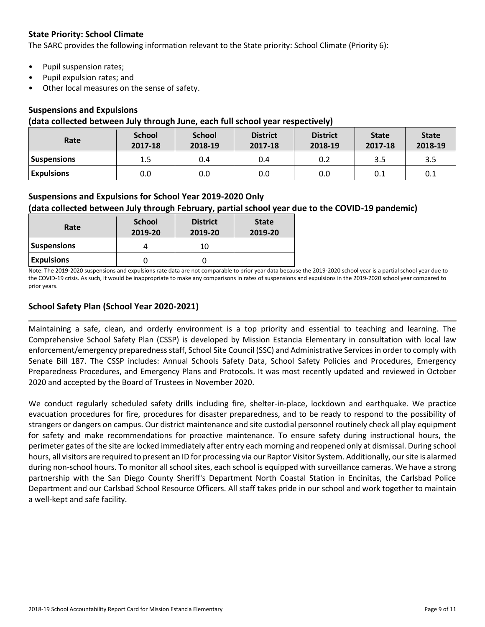## **State Priority: School Climate**

The SARC provides the following information relevant to the State priority: School Climate (Priority 6):

- Pupil suspension rates;
- Pupil expulsion rates; and
- Other local measures on the sense of safety.

#### **Suspensions and Expulsions**

#### **(data collected between July through June, each full school year respectively)**

| Rate               | <b>School</b><br>2017-18 | <b>School</b><br>2018-19 | <b>District</b><br>2017-18 | <b>District</b><br>2018-19 | <b>State</b><br>2017-18 | <b>State</b><br>2018-19 |
|--------------------|--------------------------|--------------------------|----------------------------|----------------------------|-------------------------|-------------------------|
| <b>Suspensions</b> | 1.5                      | 0.4                      | 0.4                        | 0.2                        | 3.5                     | 3.5                     |
| <b>Expulsions</b>  | 0.0                      | 0.0                      | 0.0                        | 0.0                        | 0.1                     | 0.1                     |

### **Suspensions and Expulsions for School Year 2019-2020 Only**

### **(data collected between July through February, partial school year due to the COVID-19 pandemic)**

| Rate               | <b>School</b><br>2019-20 | <b>District</b><br>2019-20 | <b>State</b><br>2019-20 |
|--------------------|--------------------------|----------------------------|-------------------------|
| <b>Suspensions</b> |                          | 10                         |                         |
| <b>Expulsions</b>  |                          |                            |                         |

Note: The 2019-2020 suspensions and expulsions rate data are not comparable to prior year data because the 2019-2020 school year is a partial school year due to the COVID-19 crisis. As such, it would be inappropriate to make any comparisons in rates of suspensions and expulsions in the 2019-2020 school year compared to prior years.

### **School Safety Plan (School Year 2020-2021)**

Maintaining a safe, clean, and orderly environment is a top priority and essential to teaching and learning. The Comprehensive School Safety Plan (CSSP) is developed by Mission Estancia Elementary in consultation with local law enforcement/emergency preparedness staff, School Site Council (SSC) and Administrative Services in order to comply with Senate Bill 187. The CSSP includes: Annual Schools Safety Data, School Safety Policies and Procedures, Emergency Preparedness Procedures, and Emergency Plans and Protocols. It was most recently updated and reviewed in October 2020 and accepted by the Board of Trustees in November 2020.

We conduct regularly scheduled safety drills including fire, shelter-in-place, lockdown and earthquake. We practice evacuation procedures for fire, procedures for disaster preparedness, and to be ready to respond to the possibility of strangers or dangers on campus. Our district maintenance and site custodial personnel routinely check all play equipment for safety and make recommendations for proactive maintenance. To ensure safety during instructional hours, the perimeter gates of the site are locked immediately after entry each morning and reopened only at dismissal. During school hours, all visitors are required to present an ID for processing via our Raptor Visitor System. Additionally, our site is alarmed during non-school hours. To monitor all school sites, each school is equipped with surveillance cameras. We have a strong partnership with the San Diego County Sheriff's Department North Coastal Station in Encinitas, the Carlsbad Police Department and our Carlsbad School Resource Officers. All staff takes pride in our school and work together to maintain a well-kept and safe facility.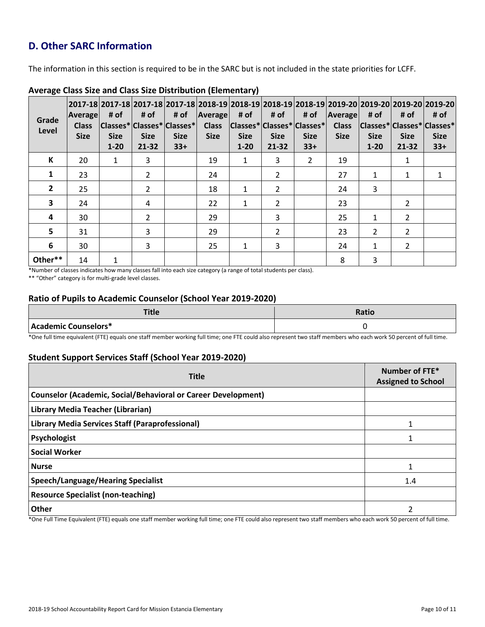# **D. Other SARC Information**

The information in this section is required to be in the SARC but is not included in the state priorities for LCFF.

| Grade<br>Level | <b>Average</b><br><b>Class</b><br><b>Size</b> | # of<br><b>Size</b><br>$1 - 20$ | # of<br><b>Size</b><br>21-32 | # of<br> Classes* Classes* Classes* <br><b>Size</b><br>$33+$ | Average<br><b>Class</b><br><b>Size</b> | # of<br><b>Size</b><br>$1 - 20$ | # of<br> Classes* Classes* Classes* <br><b>Size</b><br>21-32 | # of<br><b>Size</b><br>$33+$ | <b>Average</b><br><b>Class</b><br><b>Size</b> | # of<br> Classes* Classes* Classes*<br><b>Size</b><br>$1 - 20$ | # of<br><b>Size</b><br>21-32 | 2017-18  2017-18  2017-18  2017-18  2018-19  2018-19  2018-19  2018-19  2019-20  2019-20  2019-20  2019-20 <br># of<br><b>Size</b><br>$33+$ |
|----------------|-----------------------------------------------|---------------------------------|------------------------------|--------------------------------------------------------------|----------------------------------------|---------------------------------|--------------------------------------------------------------|------------------------------|-----------------------------------------------|----------------------------------------------------------------|------------------------------|---------------------------------------------------------------------------------------------------------------------------------------------|
| К              | 20                                            | $\mathbf{1}$                    | 3                            |                                                              | 19                                     | $\mathbf{1}$                    | 3                                                            | $\mathcal{P}$                | 19                                            |                                                                | 1                            |                                                                                                                                             |
| 1              | 23                                            |                                 | $\overline{2}$               |                                                              | 24                                     |                                 | $\overline{2}$                                               |                              | 27                                            | 1                                                              | 1                            | 1                                                                                                                                           |
| $\mathbf{2}$   | 25                                            |                                 | $\overline{2}$               |                                                              | 18                                     | $\mathbf{1}$                    | 2                                                            |                              | 24                                            | 3                                                              |                              |                                                                                                                                             |
| 3              | 24                                            |                                 | 4                            |                                                              | 22                                     | 1                               | 2                                                            |                              | 23                                            |                                                                | 2                            |                                                                                                                                             |
| 4              | 30                                            |                                 | $\overline{2}$               |                                                              | 29                                     |                                 | 3                                                            |                              | 25                                            | 1                                                              | 2                            |                                                                                                                                             |
| 5              | 31                                            |                                 | 3                            |                                                              | 29                                     |                                 | 2                                                            |                              | 23                                            | 2                                                              | 2                            |                                                                                                                                             |
| 6              | 30                                            |                                 | 3                            |                                                              | 25                                     | $\mathbf{1}$                    | 3                                                            |                              | 24                                            | $\mathbf{1}$                                                   | $\mathcal{P}$                |                                                                                                                                             |
| Other**        | 14                                            | 1                               |                              |                                                              |                                        |                                 |                                                              |                              | 8                                             | 3                                                              |                              |                                                                                                                                             |

#### **Average Class Size and Class Size Distribution (Elementary)**

\*Number of classes indicates how many classes fall into each size category (a range of total students per class).

\*\* "Other" category is for multi-grade level classes.

### **Ratio of Pupils to Academic Counselor (School Year 2019-2020)**

| <b>THEFT</b><br>nue  | Ratio |
|----------------------|-------|
| Academic Counselors* |       |

\*One full time equivalent (FTE) equals one staff member working full time; one FTE could also represent two staff members who each work 50 percent of full time.

## **Student Support Services Staff (School Year 2019-2020)**

| <b>Title</b>                                                         | Number of FTE*<br><b>Assigned to School</b> |
|----------------------------------------------------------------------|---------------------------------------------|
| <b>Counselor (Academic, Social/Behavioral or Career Development)</b> |                                             |
| Library Media Teacher (Librarian)                                    |                                             |
| Library Media Services Staff (Paraprofessional)                      | 1                                           |
| Psychologist                                                         |                                             |
| <b>Social Worker</b>                                                 |                                             |
| <b>Nurse</b>                                                         |                                             |
| <b>Speech/Language/Hearing Specialist</b>                            | 1.4                                         |
| <b>Resource Specialist (non-teaching)</b>                            |                                             |
| <b>Other</b>                                                         |                                             |

\*One Full Time Equivalent (FTE) equals one staff member working full time; one FTE could also represent two staff members who each work 50 percent of full time.